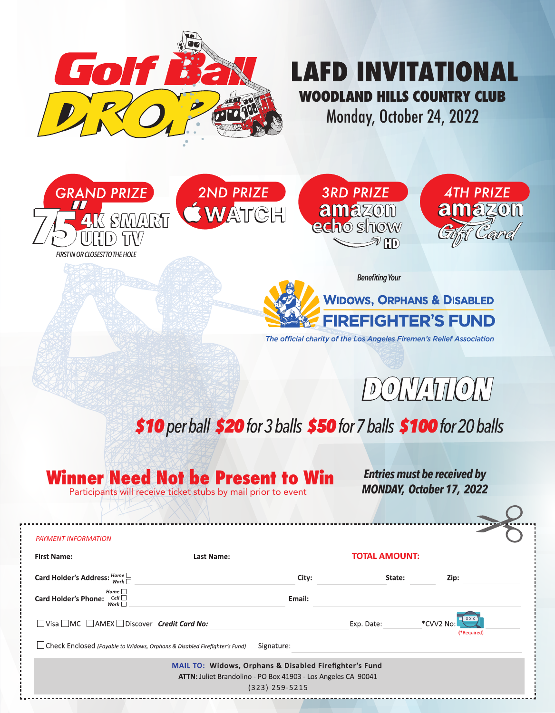

# **LAFD INVITATIONAL WOODLAND HILLS COUNTRY CLUB**

Monday, October 24, 2022







*Benefiting Your* **WIDOWS, ORPHANS & DISABLED FIREFIGHTER'S FUND** 

The official charity of the Los Angeles Firemen's Relief Association



## \$10 per ball \$20 for 3 balls \$50 for 7 balls \$100 for 20 balls

### **Winner Need Not be Present to Win**

Participants will receive ticket stubs by mail prior to event

*Entries must be received by MONDAY, October 17, 2022*

| <b>PAYMENT INFORMATION</b>                                                  |                                                                                                                                             |                      |                                        |
|-----------------------------------------------------------------------------|---------------------------------------------------------------------------------------------------------------------------------------------|----------------------|----------------------------------------|
| <b>First Name:</b>                                                          | Last Name:                                                                                                                                  | <b>TOTAL AMOUNT:</b> |                                        |
| Card Holder's Address: $\frac{Home}{Work}$                                  | City:                                                                                                                                       | State:               | Zip:                                   |
| Home $\Box$<br>Cell $\Box$<br><b>Card Holder's Phone:</b><br>Work $\Box$    | Email:                                                                                                                                      |                      |                                        |
| □ Visa □ MC □ AMEX □ Discover Credit Card No:                               |                                                                                                                                             | Exp. Date:           | <b>XXX</b><br>*CVV2 No:<br>(*Required) |
| □ Check Enclosed (Payable to Widows, Orphans & Disabled Firefighter's Fund) | Signature:                                                                                                                                  |                      |                                        |
|                                                                             | MAIL TO: Widows, Orphans & Disabled Firefighter's Fund<br>ATTN: Juliet Brandolino - PO Box 41903 - Los Angeles CA 90041<br>$(323)$ 259-5215 |                      |                                        |